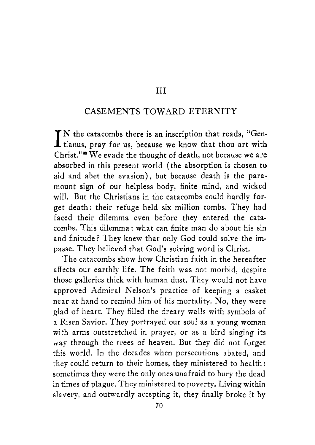#### I11

### CASEMENTS TOWARD ETERNITY

 $\prod_{n=1}^{\infty} N$  the catacombs there is an inscription that reads, "Gentianus, pray for us, because we know that thou art with We evade the thought of death, not because **we** are absorbed in this present world (the absorption is chosen to aid and abet the evasion), but because death is the paramount sign of our helpless body, finite mind, and wicked will. But the Christians in the catacombs could hardly forget death: their refuge held six million tombs. They had faced their dilemma even before they entered the catacombs. This dilemma: what can finite man do about his sin and finitude? They knew that only God could solve the impasse. They believed that God's solving word is Christ.

The catacombs show how Christian faith in the hereafter affects our earthly life. The faith was not morbid, despite those galleries thick with human dust. They would not have approved Admiral Nelson's practice of keeping a casket near at hand to remind him of his mortality. No, they were glad of heart. They filled the dreary walls with symbols of a Risen Savior. They portrayed our soul as a young woman with arms outstretched in prayer, or as a bird singing its way through the trees of heaven. But they did not forget this world. In the decades when persecutions abated, and they could return to their homes, they ministered to health : sometimes they were the only ones unafraid to bury the dead in times of plague. They ministered to poverty. Living within slavery, and outwardly accepting it, they finally broke it by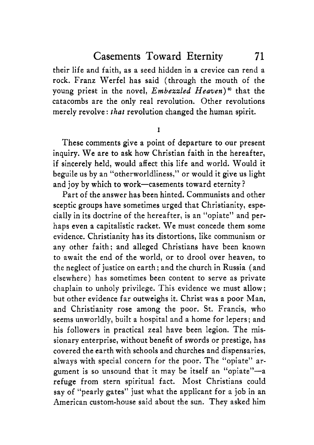their life and faith, as a seed hidden in a crevice can rend a rock. Franz Werfel has said (through the mouth of the young priest in the novel, *Embezzled Heaven*)<sup>40</sup> that the catacombs are the only real revolution. Other revolutions merely revolve : *that* revolution changed the human spirit.

**I** 

These comments give a point of departure to our present inquiry. We are to ask how Christian faith in the hereafter, if sincerely held, would affect this life and world. Would it beguile us by an "otherworldliness," or would it give us light and joy by which to work-casements toward eternity?

Part of the answer has been hinted. Communists and other sceptic groups have sometimes urged that Christianity, especially in its doctrine of the hereafter, is an "opiate" and perhaps even a capitalistic racket. We must concede them some evidence. Christianity has its distortions, like communism or any other faith: and alleged Christians have been known to await the end of the world, or to drool over heaven, to the neglect of justice on earth ; and the church in Russia (and elsewhere) has sometimes been content to serve as private chaplain to unholy privilege. This evidence we must allow ; but other evidence far outweighs it. Christ was a poor Man, and Christianity rose among the poor. St. Francis, who seems unworldly, built a hospital and a home for lepers; and his followers in practical zeal have been legion. The missionary enterprise, without benefit of swords or prestige, has covered the earth with schools and churches and dispensaries, always with special concern for the poor. The "opiate" argument is so unsound that it may be itself an "opiate"-a refuge from stern spiritual fact. Most Christians could say of "pearly gates" just what the applicant for a job in an American custom-house said about the sun. They asked him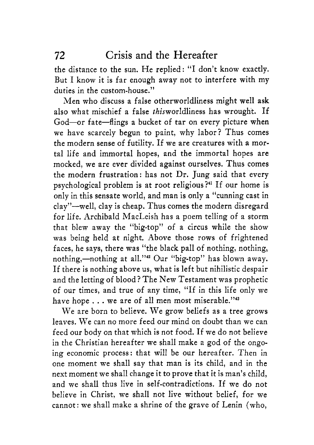# 72 Crisis and the Hereafter

the distance to the sun, He replied: "I don't know exactly. But I know it is far enough away not to interfere with my duties in the custom-house."

lMen who discuss a false otherworldliness might well ask also what mischief a false thisworldliness has wrought. If God-or fate-flings a bucket of tar on every picture when we have scarcely begun to paint, why labor? Thus comes the modern sense of futility. If we are creatures with a mortal life and immortal hopes, and the immortal hopes are mocked, we are ever divided against ourselves. Thus comes the modern frustration: has not Dr. Tung said that every psychological problem is at root religious?" If our home is only in this sensate world, and man is only a "cunning cast in clay"-well, clay is cheap. Thus comes the modern disregard for life. Archibald MacLeish has a poem telling of a storm that blew away the "big-top" of a circus while the show was being held at night. Above those rows of frightened faces, he says, there **was** "the black pall of nothing, nothing, nothing,-nothing at all."<sup>42</sup> Our "big-top" has blown away. If there is nothing above us, what is left but nihilistic despair and the letting of blood? The New Testament was prophetic of our times, and true of any time, "If in this life only we have hope  $\dots$  we are of all men most miserable."<sup>43</sup>

We are born to believe. We grow beliefs as a tree grows leaves. We can no more feed our mind on doubt than we can feed our body on that which is not food. If we do not believe in the Christian hereafter we shall make a god of the ongoing economic process: that will be our hereafter. Then in one moment we shall say that man is its child, and in the next moment we shall change it to prove that it is man's child, and we shall thus live in self-contradictions. If we do not believe in Christ, we shall not live without belief, for we cannot: we shall make a shrine of the grave of Lenin (who,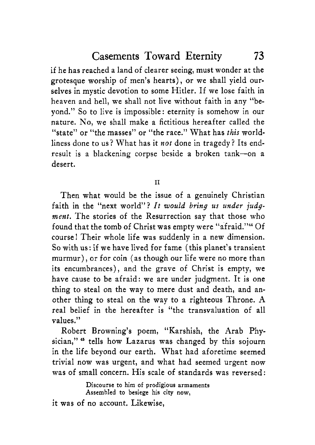if he has reached a land of clearer seeing, must wonder at the grotesque worship of men's hearts), or we shall yield ourselves in mystic devotion to some Hitler. If we lose faith in heaven and hell, we shall not live without faith in any "beyond." So to live is impossible: eternity is somehow in our nature. No, we shall make a fictitious hereafter called the "state" or "the masses" or "the race." What has *this* worldliness done to us? What has it *nor* done in tragedy? Its endresult is a blackening corpse beside a broken tank-on a desert.

**I1** 

Then what would be the issue of a genuinely Christian faith in the "next world"? *It would bring us under judgment.* The stories of the Resurrection say that those who found that the tomb of Christ was empty were "afraid.''44 Of course1 Their whole life was suddenly in a new dimension. So with us: if we have lived for fame (this planet's transient murmur), or for coin (as though our life were no more than its encumbrances), and the grave of Christ is empty, we have cause to be afraid: we are under judgment. It is one thing to steal on the way to mere dust and death, and another thing to steal on the way to a righteous Throne. **A**  real belief in the hereafter is "the transvaluation of all values."

Robert Browning's poem, "Karshish, the Arab Physician,"<sup>45</sup> tells how Lazarus was changed by this sojourn in the life beyond our earth. What had aforetime seemed trivial now was urgent, and what had seemed urgent now was of small concern. His scale of standards was reversed:

> Discourse to him of prodigious armaments Assembled to besiege his city **now,**

it was of no account. Likewise,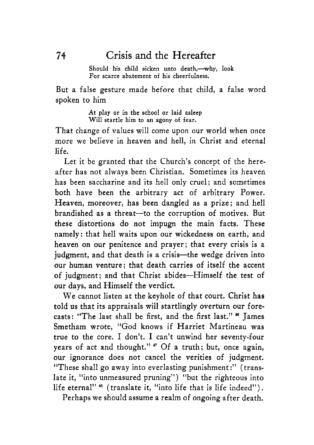Should his child sicken unto death,-why, look **For scarce abatement** of **his cheerfulness.** 

But a false gesture made before that child, a false word spoken to him

> **At play** or in **the school or laid asleep Will startle him to an agony of fear.**

That change of values will come upon our world when once more we believe in heaven and hell, in Christ and eternal life.

Let it be granted that the Church's concept of the hereafter has not always been Christian. Sometimes its heaven has been saccharine and its hell only cruel; and sometimes both have been the arbitrary act of arbitrary Power. Heaven, moreover, has been dangled as a prize; and hell brandished as a threat-to the corruption of motives. But these distortions do not impugn the main facts. These namely: that hell waits upon our wickedness on earth, and heaven on our penitence and prayer; that every crisis is a judgment, and that death is a crisis-the wedge driven into our human venture: that death carries of itself the accent of judgment; and that Christ abides-Himself the test of our days, and Himself the verdict.

We cannot listen at the keyhole of that court. Christ has told us that its appraisals will startlingly overturn our forecasts: "The last shall be first, and the first last.'' *Hi* James Smetham wrote, "God **knows** if Harriet Martineau was true to the core. I don't. I can't unwind her seventy-four years of act and thought." **4'** Of a truth; but, once again, our ignorance does not cancel the verities of judgment. "These shall go away into everlasting punishment:" (translate it, "into unmeasured pruning") "but the righteous into life eternal"  $48$  (translate it, "into life that is life indeed").

Perhaps we should assume a realm of ongoing after death.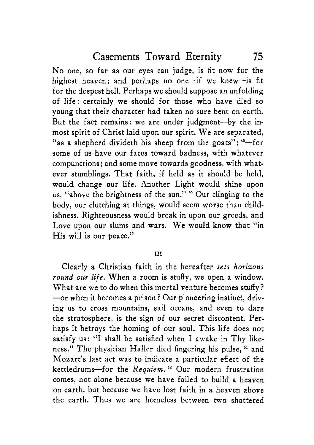No one, so far as our eyes can judge, is fit now for the highest heaven; and perhaps no one-if we knew-is fit for the deepest hell. Perhaps we should suppose an unfolding of life: certainly we should for those who have died so young that their character had taken no sure bent on earth. But the fact remains: we are under judgment-by the inmost spirit of Christ laid upon our spirit. We are separated, "as a shepherd divideth his sheep from the goats";  $-$ for some of us have our faces toward badness, with whatever compunctions ; and some move towards goodness, with whatever stumblings. That faith, if held as it should be held, would change our life. Another Light would shine upon us, "above the brightness of the sun." <sup>50</sup> Our clinging to the body, our clutching at things, would seem worse than childishness. Righteousness would break in upon our greeds, and Love upon our slums and wars. We would know that "in His will is our peace."

#### **I11**

Clearly a Christian faith in the hereafter *sets horizons round our life.* When a room is stuffy, we open a window. What are we to do when this mortal venture becomes stuffy? -or when it becomes a prison? Our pioneering instinct, driving us to cross mountains, sail oceans, and even to dare the stratosphere, is the sign of our secret discontent. Perhaps it betrays the homing of our soul. This life does not satisfy us: "I shall be satisfied when I awake in Thy likeness." The physician Haller died fingering his pulse, <sup>51</sup> and Mozart's last act was to indicate a particular effect of the kettledrums-for the *Requiem.* **52** Our modern frustration comes, not alone because we have failed to build a heaven on earth, but because we have lost faith in a heaven above the earth. Thus we are homeless between *two* shattered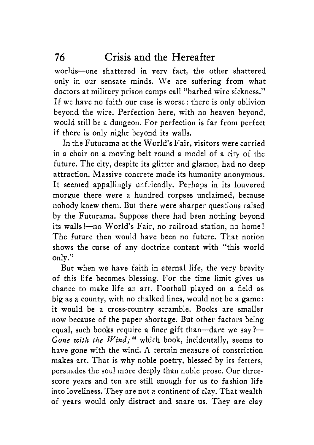# **76** Crisis and the Hereafter

worlds-one shattered in very fact, the other shattered only in our sensate minds. We are suffering from what doctors at military prison camps call "barbed wire sickness." If we have no faith our case is worse: there is only oblivion beyond the wire. Perfection here, with no heaven beyond, would still be a dungeon. For perfection is far from perfect if there is only night beyond its walls.

In the Futurama at the World's Fair, visitors were carried in a chair on a moving belt round a model of a city of the future. The city, despite its glitter and glamor, had no deep attraction. Massive concrete made its humanity anonymous. It seemed appallingly unfriendly. Perhaps in its louvered morgue there were a hundred corpses unclaimed, because nobody knew them. But there were sharper questions raised by the Futurama. Suppose there had been nothing beyond its walls !- no World's Fair, no railroad station, no home! The future then would have been no future. That notion shows the curse of any doctrine content with "this world only."

But when we have faith in eternal Iife, the very brevity of this life becomes blessing. For the time limit gives us chance to make life an art. Football played on a field as big as a county, with no chalked lines, would not be a game: it would be a cross-country scramble. Books are smaller now because of the paper shortage. But other factors being equal, such books require a finer gift than-dare we say?-Gone with the Wind;<sup>53</sup> which book, incidentally, seems to have gone with the wind. A certain measure of constriction makes art. That is why noble poetry, blessed by its fetters, persuades the soul more deeply than noble prose. Our threescore years and ten are still enough for us to fashion life into loveliness. They are not a continent of clay. That wealth of years would only distract and snare **us.** They are clay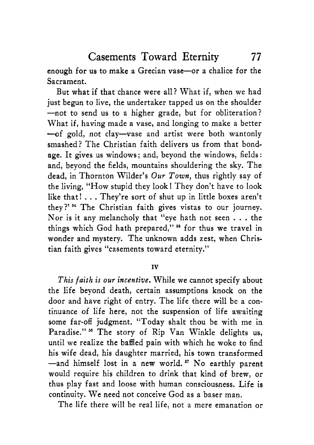Casements Toward Eternity **77** 

enough for us to make a Grecian vase-or a chalice for the Sacrament.

But what if that chance were all? What if, when we had just begun to live, the undertaker tapped us on the shoulder -not to send us to a higher grade, but for obliteration? What if, having made a vase, and longing to make a better -of gold, not clay-vase and artist were both wantonly smashed? The Christian faith delivers us from that bondage. It gives us windows; and, beyond the windows, fields: and, beyond the fields, mountains shouldering the sky. The dead, in Thornton Wilder's *Our Town,* thus rightly say of the living, "HOW stupid they look I They don't have to look like that! . . . They're sort of shut up in little boxes aren't they?' **54** The Christian faith gives vistas to our journey. Nor is it any melancholy that "eye hath not seen . . . the things which God hath prepared," **55** for thus we travel in wonder and mystery. The unknown adds zest, when Christian faith gives "casements toward eternity."

**IV** 

*This faith is our incentive.* While we cannot specify about the life beyond death, certain assumptions knock on the door and have right of entry. The life there will be a continuance of life here, not the suspension of life awaiting some far-off judgment. "Today shalt thou be with me in Paradise." **58** The story of Rip Van Winkle delights us, until we realize the baffled pain with which he woke to find his wife dead, his daughter married, his town transformed -and himself lost in a new world.<sup>57</sup> No earthly parent would require his children to drink that kind of brew, or thus play fast and loose with human consciousness. Life is continuity. We need not conceive God as a baser man.

The life there will be real life, not a mere emanation or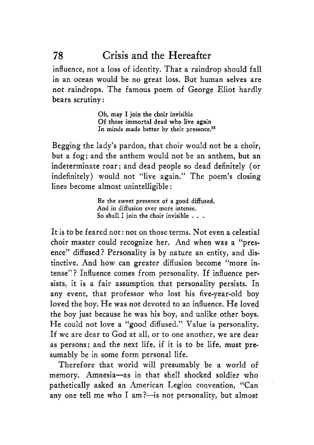## **78** Crisis and the Hereafter

influence, not a loss of identity. That a raindrop should fall in an ocean would be no great loss. But human selves are not raindrops. The famous poem of George Eliot hardly bears scrutiny :

> Oh, may I join the choir invisible Of those immortal dead who live again In minds made better by their presence.<sup>58</sup>

Begging the lady's pardon, that choir would not be a choir, but a fog; and the anthem would not be an anthem, but an indeterminate roar; and dead people so dead definitely (or indefinitely) would not "live again." The poem's closing lines become almost unintelligible :

> Be the sweet presence of a good diffused, And in diffusion ever more intense. So shall I join the choir invisible . . .

It is to be feared not: not on those terms. Not even a celestial choir master could recognize her. And when was **a** "presence" diffused? Personality is by nature an entity, and distinctive. And how can greater diffusion become "more intense" ? Influence comes from personality. **If** influence persists, it is a fair assumption that personality persists. In any event, that professor who lost his five-year-old boy loved the boy. He was not devoted to an influence. He loved the boy just because he was his boy, and unlike other boys. He could not love a "good diffused." Value is personality. If we are dear to God at all, or to one another, we are dear as persons; and the next life, if it is to be life, must **pre**sumably be in some form personal life.

Therefore that world will presumably be a world of memory. Amnesia-as in that shell shocked soldier who pathetically asked an American Legion convention, "Can any one tell me who I am?-is not personality, but almost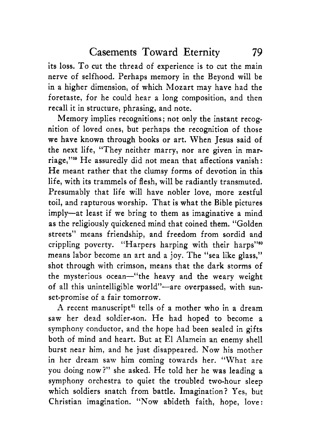its loss. To cut the thread of experience is to cut the main nerve of selfhood. Perhaps memory in the Beyond will be in a higher dimension, of which Mozart may have had the foretaste, for he could hear a long composition, and then recall it in structure, phrasing, and note.

Memory implies recognitions ; not only the instant recognition of loved ones, but perhaps the recognition of those we have known through books or art. When Jesus said of the next life, "They neither marry, nor are given in marriage,"<sup>59</sup> He assuredly did not mean that affections vanish: He meant rather that the clumsy forms of devotion in this life, with its trammels of flesh, will be radiantly transmuted. Presumably that life will have nobler love, more zestful toil, and rapturous worship. That is what the Bible pictures imply-at least if we bring to them as imaginative a mind as the religiously quickened mind that coined them. "Golden streets" means friendship, and freedom from sordid and crippling poverty. "Harpers harping with their harps"<sup>60</sup> means labor become an art and a joy. The "sea like glass," shot through with crimson, means that the dark storms of the mysterious ocean-"the heavy and the weary weight of all this unintelligible world"-are overpassed, with sunset-promise of a fair tomorrow.

A recent manuscript<sup>61</sup> tells of a mother who in a dream saw her dead soldier-son. He had hoped to become a symphony conductor, and the hope had been sealed in gifts both of mind and heart. But at El Alamein an enemy shell burst near him, and he just disappeared. Now his mother in her dream saw him coming towards her. "What are you doing now?" she asked. He told her he was leading a symphony orchestra to quiet the troubled two-hour sleep which soldiers snatch from battle. Imagination? Yes, but Christian imagination. "Now abideth faith, hope, love :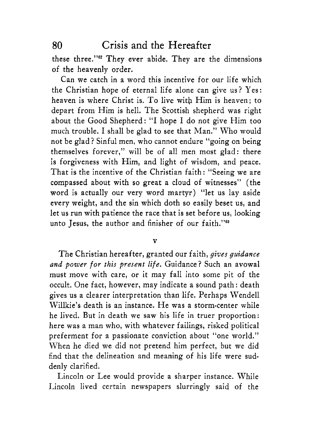these three."62 They ever abide. They are the dimensions of the heavenly order.

Can we catch in a word this incentive for our life which the Christian hope of eternal life alone can give us? Yes: heaven is where Christ is. To live witb Him is heaven; to depart from Him is hell. The Scottish shepherd was right about the Good Shepherd: "I hope I do not give Him too much trouble. I shall be glad to see that Man." Who would not be glad? Sinful men, who cannot endure "going on being themselves forever," will be of all men most glad: there is forgiveness with Him, and light of wisdom, and peace. That is the incentive of the Christian faith: "Seeing we are compassed about with so great a cloud of witnesses" (the word is actually our very word martyr) "let us lay aside every weight, and the sin which doth so easily beset us, and let us run with patience the race that is set before us, looking unto Jesus, the author and finisher of our faith."<sup>63</sup>

**V** 

The Christian hereafter, granted our faith, *gives guidance and power for this present life.* Guidance? Such an avowal must move with care, or it may fall into some pit of the occult. One fact, however, may indicate a sound path : death gives us a clearer interpretation than life. Perhaps Wendell Willkie's death is an instance. He was a storm-center while he lived. But in death we saw his life in truer proportion: here was a man who, with whatever failings, risked political preferment for a passionate conviction about "one world." When he died we did not pretend him perfect, but we did find that the delineation and meaning of his life were suddenly clarified.

Lincoln or Lee would provide a sharper instance. While Lincoln lived certain newspapers slurringly said of the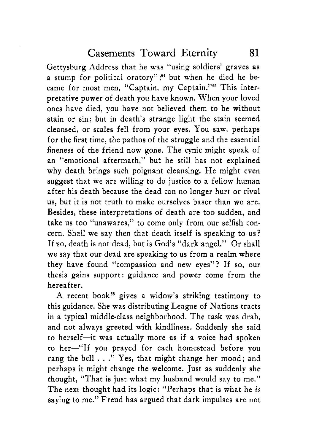Gettysburg Address that he was ''using soldiers' graves as a stump for political oratory";<sup>64</sup> but when he died he became for most men, "Captain, my Captain."<sup>65</sup> This interpretative power of death you have known. When your loved ones have died, you have not believed them to be without stain or sin; but in death's strange light the stain seemed cleansed, or scales fell from your eyes. You saw, perhaps for the first time, the pathos of the struggle and the essential fineness of the friend now gone. The cynic might speak of an "emotional aftermath," but he still has not explained why death brings such poignant cleansing. He might even suggest that we are willing to do justice to a fellow human after his death because the dead can no longer hurt or rival us, but it is not truth to make ourselves baser than we are. Besides, these interpretations of death are too sudden, and take us too "unawares," to come only from our selfish concern. Shall we say then that death itself is speaking to us? If *30,* death is not dead, but is God's "dark angel." Or shall we say that our dead are speaking to us from a realm where they have found "compassion and new eyes"? If so, our thesis gains support: guidance and power come from the hereafter.

A recent book<sup>66</sup> gives a widow's striking testimony to this guidance. She was distributing League of Nations tracts in a typical middle-class neighborhood. The task was drab, and not always greeted with kindliness. Suddenly she said to herself-it was actually more as if a voice had spoken to her-"If you prayed for each homestead before you rang the bell . . ." Yes, that might change her mood; and perhaps it might change the welcome. Just as suddenly she thought, "That is just what my husband would say to me." The next thought had its logic: "Perhaps that is what he *is*  saying to me." Freud has argued that dark impulses are not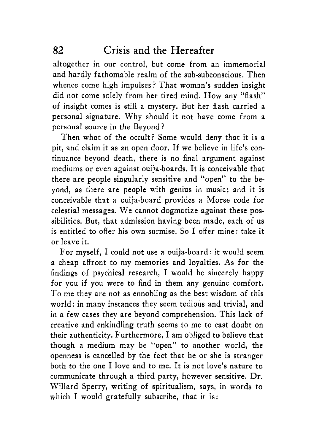altogether in our control, but come from an immemorial and hardly fathomable realm of the sub-subconscious. Then whence come high impulses? That woman's sudden insight did not come solely from her tired mind. How any "flash" of insight comes is still a mystery. But her flash carried a personal signature. Why should it not have come from a personal source in the Beyond?

Then what of the occult? Some would deny that it is a pit, and claim it as an open door. If we believe in life's continuance beyond death, there is no final argument against mediums or even against Ouija-boards. It is conceivable that there are people singularly sensitive and "open" to the beyond, as there are people with genius in music; and it is conceivable that a Ouija-board provides a Morse code for celestial messages. We cannot dogmatize against these possibilities. But, that admission having been made, each of **us**  is entitled to offer his own surmise. So I offer mine : take it or leave it.

For myself, I could not use a ouija-board: it would seem a cheap affront to my memories and loyalties. **As** for the findings of psychical research, I would be sincerely happy for you if you were to find in them **any** genuine comfort. To me they are not as ennobling as the best wisdom of this world: in many instances they seem tedious and trivial, and in a few cases they are beyond comprehension. This lack of creative and enkindling truth seems to me to cast doubt on their authenticity. Furthermore, I am obliged to believe that though a medium may be "open" to another world, the openness is cancelled by the fact that he or she is stranger both to the one I love and to me. It is not love's nature to communicate through a third party, however sensitive. Dr. Willard Sperry, writing of spiritualism, says, in words to which I would gratefully subscribe, that it is: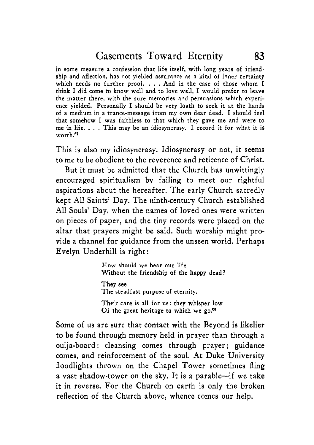in some measure a confession that life itself, with long years **of** friendship and affection, has not yielded assurance as a kind of inner certainty which needs no further proof. . . . And in the case of those whom I think I did come to know well and to love well, I would prefer to leave the matter there, with the sure memories and persuasions which experience yielded. Personally I should be very loath to **seek** it at the hands of a medium in a trance-message from my own dear dead. **I** should feel that somehow I was faithless to that which they gave me and were to me in life. . . . This may be an idiosyncrasy. I record it for what it **is**  worth?'

This is also my idiosyncrasy. Idiosyncrasy or not, it seems to me to be obedient to the reverence and reticence of Christ.

But it must be admitted that the Church has unwittingly encouraged spiritualism by failing to meet our rightful aspirations about the hereafter. The early Church sacredly kept All Saints' Day. The ninth-century Church established All Souls' Day, when the names of loved ones were written on pieces of paper, and the tiny records were placed on the altar that prayers might be said. Such worship might provide a channel for guidance from the unseen world. Perhaps Evelyn Underhill is right:

> **How** should we bear our life Without the friendship of the happy dead? They see The steadfast purpose of eternity. Their care **is** all for **us:** they whisper low Of the great heritage to which we go.<sup>68</sup>

Some of us are sure that contact with the Beyond **is** likelier to be found through memory held in prayer than through a ouija-board: cleansing comes through prayer; guidance comes, and reinforcement of the soul. At Duke University floodlights thrown on the Chapel Tower sometimes fling a vast shadow-tower on the sky. It **is** a parable-if we take it in reverse. For the Church on earth is only the broken reflection of the Church above, whence comes our help.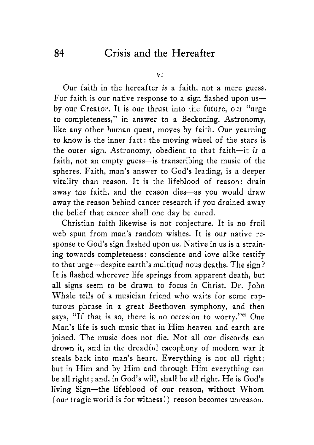VI

Our faith in the hereafter *is* a faith, not a mere guess. For faith is our native response to a sign flashed upon usby our Creator. It is our thrust into the future, our "urge to completeness," in answer to a Beckoning. Astronomy, like any other human quest, moves by faith. Our yearning to know is the inner fact: the moving wheel of the stars is the outer sign. Astronomy, obedient to that faith-it *is* a faith, not an empty guess-is transcribing the music of the spheres. Faith, man's answer to God's leading, is a deeper vitality than reason. It is the lifeblood of reason: drain away the faith, and the reason dies-as you would draw away the reason behind cancer research if you drained away the belief that cancer shall one day be cured.

Christian faith likewise is not conjecture. It is no frail web spun from man's random wishes. It is our native response to God's sign flashed upon us. Native in us is a straining towards completeness : conscience and love alike testify to that urge-despite earth's multitudinous deaths. The sign? It is flashed wherever life springs from apparent death, but all signs seem to be drawn to focus in Christ. Dr. John Whale tells of a musician friend who waits for some rapturous phrase in a great Beethoven symphony, and then says, "If that is so, there is no occasion to worry."<sup>69</sup> One Man's life is such music that in Him heaven and earth are joined. The music does not die. Not all our discords can drown it, and in the dreadful cacophony of modern war it steals back into man's heart. Everything is not all right; but in Him and by Him and through Him everything can be all right; and, in God's will, shall be all right. He is God's living Sign-the lifeblood of our reason, without Whom (our tragic world is for witness I) reason becomes unreason.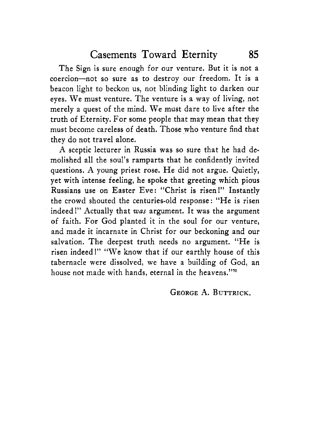The Sign is sure enough for our venture. But it is not a coercion-not so sure as to destroy our freedom. It is a beacon light to beckon us, not blinding light to darken our eyes. We must venture. The venture is a way of living, not merely a quest of the mind. We must dare to live after the truth of Eternity. For some people that may mean that they must become careless of death. Those who venture find that they do not travel alone.

A sceptic lecturer in Russia was so sure that he had demolished all the soul's ramparts that he confidently invited questions. A young priest rose. He did not argue. Quietly, yet with intense feeling, he spoke that greeting which pious Russians use on Easter Eve : "Christ **is** risen I" Instantly the crowd shouted the centuries-old response: "He is risen indeedl" Actually that *was* argument. It was the argument of faith. For God planted it in the soul for our venture, and made it incarnate in Christ for our beckoning and our salvation. The deepest truth needs no argument. "He is risen indeed!" "We know that if our earthly house of this tabernacle were dissolved, we have a building of God, an house not made with hands, eternal in the heavens.""

**GEORGE A. BUTTRICK.**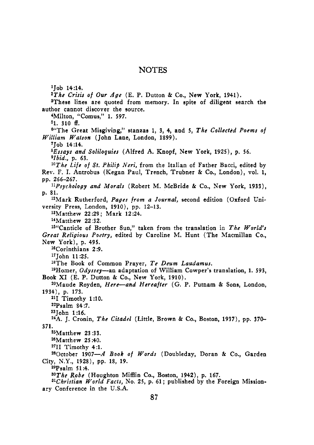#### **NOTES**

'Job **14:14.** 

*2The* **Crisis** *of* Our *Age* (E. P. Dutton & Co., New York, **1941).** 

aThese lines are quoted from memory. **In** spite of diligent search the author cannot discover the source.

'Milton, "Comus," **1. 597.** 

**51. 310** ff.

@'The Great Misgiving," stanzas **1, 3, 4,** and **5,** *The Collected Poems of William Watson* (John Lane, London, **1899).** 

'Job **14:14.** 

*8Es~ay~ and Soliloquies* (Alfred A. Knopf, New York, **1925),** p. **56.**  *elbid.,* p. **63.** 

*l0The Life* **of** *St. Philip* **Neri,** from the Italian of Father Bacci, edited by Rev. F. I. Antrobus (Kegan Paul, Trench, Trubner & Co., London), vol. **1,**  pp. **266-267.** 

*llPsychology* and *Morals* (Robert M. McBride & Co., New York, **1933),**  p. **81.** 

I2Mark Rutherford, *Pages* from *a Journal,* second edition (Oxford University Press, London, **1910),** pp. **12-13.** 

IsMatthew **2229;** Mark **1224.** 

14Matthew **22 :32.** 

15"Canticle of Brother **Sun,"** taken from the translation in The World's *Great Religious Poetry,* edited by Caroline M. Hunt (The Macmillan Co., New York), p. **495.** 

Worinthians **2 :9.** 

''John **11 :25.** 

18The **Book** of Common Prayer, *Te Deum Laudamus.* 

lgHomer, *Odyssey-an* adaptation of William Cowper's translation, **1. 593,**  Book XI (E. P. Dutton & **Co.,** New York, **1910).** 

20Maude Royden, *Here-and Hereafter* (G. P. Putnam & Sons, London, **1934),** p. **173.** 

\*lI Timothy **1:lO.** 

lZPsalrn **84:7.** 

2JJohn **1:16.** 

24A. J. Cronin, *The Citadel* (Little, Brown & **Co.,** Boston, **1937),** pp. **370- 371.** 

25Matthew 23 **:33.** 

"Matthew **25 :40.** 

**2711** Timothy **4:l.** 

2\*October **1907--A** *Book* **of** *Words* (Doubleday, Doran & Co., Garden City, N.Y., **1928),** pp. 18, **19.** 

29Psalm **51 :4.** 

*3OThe Robe* (Houghton Mifflin Co., Boston, **1942),** p. **167.** 

*Whristinn World Facts,* No. *25,* p. **61** ; published by the Foreign Missionary Conference in the U.S.A.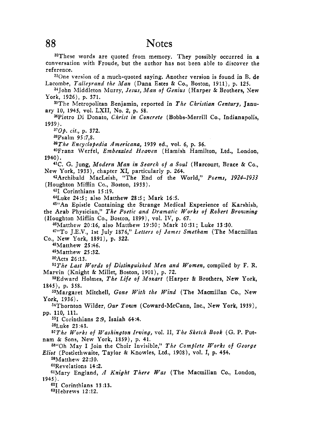### 88 Notes

32These words are quoted from memory. They possibly occurred in a conversation with Froude, but the author has not been able to discover the reference.

330ne version of a much-quoted saying. Another version is found in B. de Lacombe, *Talleyrand the* **Man** (Dana Estes & Co., Boston, **1911), p. 125.** 

<sup>34</sup>John Middleton Murry, *Jesus, Man of Genius* (Harper & Brothers, New York, **1926),** p. **371.** 

a5The Metropolitan Benjamin, reported in *The Christian Century,* January **10, 1945,** vol. LXII, No. **2,.p. 58.** 

36Pietro Di Donato. *Christ in Concrete* (Bobbs-Merrill Co., Indianapolis, **1939j.** 

*370p. cit.,* p. **372.** 

38Psalrn **95 :7,8.** 

*39The Encyclopedia Americana,* **1939** ed., vol. **6,** p. **36.** 

'OFranz Werfel, *Embezzled Heaven* (Hamish Hamilton, Ltd., London, **1940).** 

**41C.** G. Jung, *Modern Man in Search of a Soul* (Harcourt, Brace & Co., New York, **1933),** chapter XI, particularly **p. 264.** 

42 Archibald MacLeish, "The End of the World," Poems, 1924-1933 (Houghton Mifflin **Co.,** Boston, **1933).** 

**431** Corinthians **15 :19.** 

44Luke **24:s;** also Matthew **285;** Mark **16:s.** 

<sup>45"</sup>An Epistle Containing the Strange Medical Experience of Karshish, the Arab Physician," *The Poetic and Dramatic Works* of *Robert Browning*  (Houghton Mifflin Co., Boston, 1899), vol. IV, p. 67.

46Matthew **20:16,** also Matthew **19:30;** Mark **10:31;** Luke **13:30.** 

47i'To J.E.V., **1st** July **1876,"** *Letters of James Srnetham* (The Macmillan Co., New York, **1891), p. 322.** 

"Matthew **25 :46.** 

4gMatthew **25 :32.** 

50A~ts **26:13.** 

*51The* Lust *Words of Distinguished Men and Women,* compiled by F. R. Marvin (Knight & Millet, Boston, **1901),** p. **72.** 

52Edward Holmes, *The Life* of *Moaurt* (Harper & Brothers, New York, **1845),** p. **358.** 

53Margaret Mitchell, Gone *With the Wind* (The Macmillan Co., New York, **1936).** 

54Thornton Wilder, Our *Town* (Coward-McCann, Inc., New York, **1939), pp, 110, 111.** 

551 Corinthians **2:9,** Isaiah **64:4.** 

56Luke **23 :43.** 

*57Thc Works of Washington Irwing,* vol. **11,** *The Sketch Book (G.* P. Putnam & Sons, New York, **1859), p. 41.** 

58"Oh May I Join the Choir Invisible," The Complete Works of George *Eliot* (Postlethwaite, Taylor & Knowles, Ltd., **1908),** vol. I, p. **454.** 

5QMatthew **22:30.** 

6oRevel ations **14 :2.** 

61Mary England, *A Knight There Was* (The Macmillan Co., London, **1945).** 

621 Corinthians **13 :13.** 

 $^{63}$ Hebrews 12:12.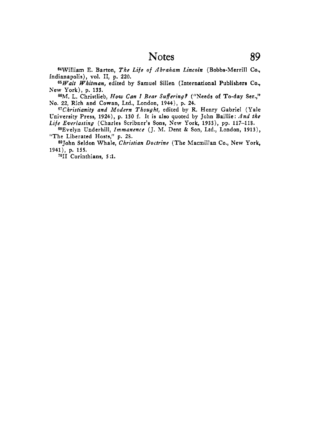## Notes *89*

**84Williarn E. Barton,** *The Life of Abraham Lincoln* **(Bobbs-Merrill** *Co.,*  **fndianapolia), vol. 11, p. 220.** 

*66Walt Wltifman,* **edited by Samuel Sillen (International Publishers Co., New York), p. 133.** 

6aM. **L. Christlieb,** *Ifow Can I* **Bear SuferingP ("Needs** of **To-day Ser.," No. 22, Rich and Cowan, Ltd., London, 1944), p. 24.** 

 $67<sub>Christianity</sub>$  and Modern Thought, edited by R. Henry Gabriel (Yale **University Press, 1924), p. 130 f. It is also quoted by** John **Baillie:** *And the*  Life Everlasting (Charles Scribner's Sons, New York, 1933), pp. 117-118.

**6sEvelyn Underhill,** *Immanence* (J. M. **Dent** & Son, **Ltd., London, 1913), "The Liberated Hosts," p.** 2s.

<sup>69</sup>John Seldon Whale, *Christian Doctrine* (The Macmillan Co., New York, **1941), p. 155.** 

**'0x1 Corinthians, 5 :1.**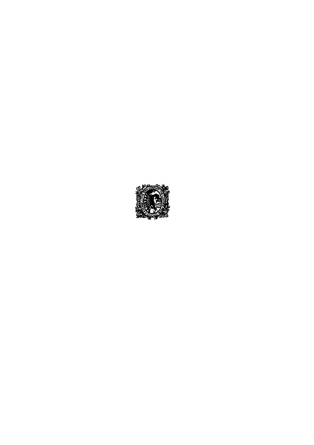